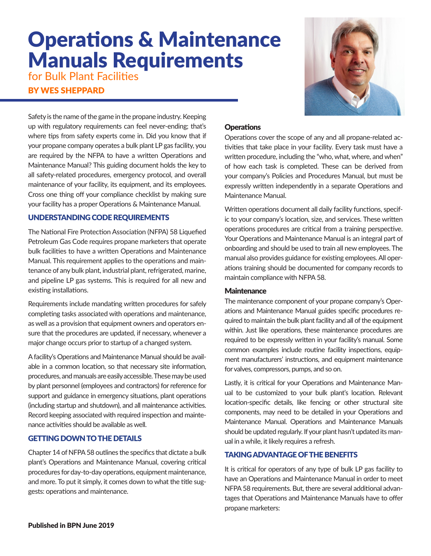# **Operations & Maintenance** Manuals Requirements

for Bulk Plant Facilities

BY WES SHEPPARD

Safety is the name of the game in the propane industry. Keeping up with regulatory requirements can feel never-ending; that's where tips from safety experts come in. Did you know that if your propane company operates a bulk plant LP gas facility, you are required by the NFPA to have a written Operations and Maintenance Manual? This guiding document holds the key to all safety-related procedures, emergency protocol, and overall maintenance of your facility, its equipment, and its employees. Cross one thing off your compliance checklist by making sure your facility has a proper Operations & Maintenance Manual.

## UNDERSTANDING CODE REQUIREMENTS

The National Fire Protection Association (NFPA) 58 Liquefied Petroleum Gas Code requires propane marketers that operate bulk facilities to have a written Operations and Maintenance Manual. This requirement applies to the operations and maintenance of any bulk plant, industrial plant, refrigerated, marine, and pipeline LP gas systems. This is required for all new and existing installations.

Requirements include mandating written procedures for safely completing tasks associated with operations and maintenance, as well as a provision that equipment owners and operators ensure that the procedures are updated, if necessary, whenever a major change occurs prior to startup of a changed system.

A facility's Operations and Maintenance Manual should be available in a common location, so that necessary site information, procedures, and manuals are easily accessible. These may be used by plant personnel (employees and contractors) for reference for support and guidance in emergency situations, plant operations (including startup and shutdown), and all maintenance activities. Record keeping associated with required inspection and maintenance activities should be available as well.

## GETTING DOWN TO THE DETAILS

Chapter 14 of NFPA 58 outlines the specifics that dictate a bulk plant's Operations and Maintenance Manual, covering critical procedures for day-to-day operations, equipment maintenance, and more. To put it simply, it comes down to what the title suggests: operations and maintenance.

#### **Operations**

Operations cover the scope of any and all propane-related activities that take place in your facility. Every task must have a written procedure, including the "who, what, where, and when" of how each task is completed. These can be derived from your company's Policies and Procedures Manual, but must be expressly written independently in a separate Operations and Maintenance Manual.

Written operations document all daily facility functions, specific to your company's location, size, and services. These written operations procedures are critical from a training perspective. Your Operations and Maintenance Manual is an integral part of onboarding and should be used to train all new employees. The manual also provides guidance for existing employees. All operations training should be documented for company records to maintain compliance with NFPA 58.

#### **Maintenance**

The maintenance component of your propane company's Operations and Maintenance Manual guides specific procedures required to maintain the bulk plant facility and all of the equipment within. Just like operations, these maintenance procedures are required to be expressly written in your facility's manual. Some common examples include routine facility inspections, equipment manufacturers' instructions, and equipment maintenance for valves, compressors, pumps, and so on.

Lastly, it is critical for your Operations and Maintenance Manual to be customized to your bulk plant's location. Relevant location-specific details, like fencing or other structural site components, may need to be detailed in your Operations and Maintenance Manual. Operations and Maintenance Manuals should be updated regularly. If your plant hasn't updated its manual in a while, it likely requires a refresh.

#### TAKING ADVANTAGE OF THE BENEFITS

It is critical for operators of any type of bulk LP gas facility to have an Operations and Maintenance Manual in order to meet NFPA 58 requirements. But, there are several additional advantages that Operations and Maintenance Manuals have to offer propane marketers: